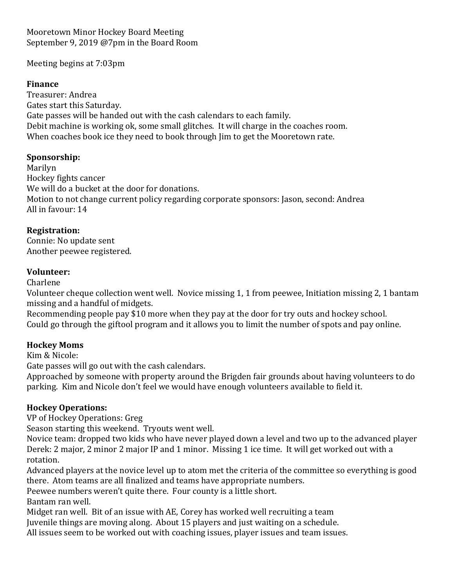Mooretown Minor Hockey Board Meeting September 9, 2019 @7pm in the Board Room

Meeting begins at 7:03pm

### **Finance**

Treasurer: Andrea Gates start this Saturday. Gate passes will be handed out with the cash calendars to each family. Debit machine is working ok, some small glitches. It will charge in the coaches room. When coaches book ice they need to book through Jim to get the Mooretown rate.

#### **Sponsorship:**

Marilyn Hockey fights cancer We will do a bucket at the door for donations. Motion to not change current policy regarding corporate sponsors: Jason, second: Andrea All in favour: 14

### **Registration:**

Connie: No update sent Another peewee registered.

### **Volunteer:**

Charlene

Volunteer cheque collection went well. Novice missing 1, 1 from peewee, Initiation missing 2, 1 bantam missing and a handful of midgets.

Recommending people pay \$10 more when they pay at the door for try outs and hockey school. Could go through the giftool program and it allows you to limit the number of spots and pay online.

## **Hockey Moms**

Kim & Nicole:

Gate passes will go out with the cash calendars.

Approached by someone with property around the Brigden fair grounds about having volunteers to do parking. Kim and Nicole don't feel we would have enough volunteers available to field it.

## **Hockey Operations:**

VP of Hockey Operations: Greg

Season starting this weekend. Tryouts went well.

Novice team: dropped two kids who have never played down a level and two up to the advanced player Derek: 2 major, 2 minor 2 major IP and 1 minor. Missing 1 ice time. It will get worked out with a rotation.

Advanced players at the novice level up to atom met the criteria of the committee so everything is good there. Atom teams are all finalized and teams have appropriate numbers.

Peewee numbers weren't quite there. Four county is a little short.

Bantam ran well.

Midget ran well. Bit of an issue with AE, Corey has worked well recruiting a team

Juvenile things are moving along. About 15 players and just waiting on a schedule.

All issues seem to be worked out with coaching issues, player issues and team issues.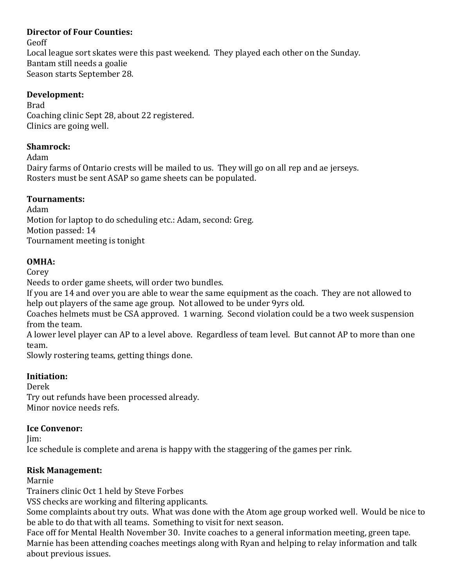## **Director of Four Counties:**

Geoff

Local league sort skates were this past weekend. They played each other on the Sunday. Bantam still needs a goalie Season starts September 28.

## **Development:**

Brad Coaching clinic Sept 28, about 22 registered. Clinics are going well.

## **Shamrock:**

Adam

Dairy farms of Ontario crests will be mailed to us. They will go on all rep and ae jerseys. Rosters must be sent ASAP so game sheets can be populated.

# **Tournaments:**

Adam Motion for laptop to do scheduling etc.: Adam, second: Greg. Motion passed: 14 Tournament meeting is tonight

# **OMHA:**

Corey

Needs to order game sheets, will order two bundles.

If you are 14 and over you are able to wear the same equipment as the coach. They are not allowed to help out players of the same age group. Not allowed to be under 9yrs old.

Coaches helmets must be CSA approved. 1 warning. Second violation could be a two week suspension from the team.

A lower level player can AP to a level above. Regardless of team level. But cannot AP to more than one team.

Slowly rostering teams, getting things done.

# **Initiation:**

Derek Try out refunds have been processed already. Minor novice needs refs.

# **Ice Convenor:**

Jim:

Ice schedule is complete and arena is happy with the staggering of the games per rink.

# **Risk Management:**

## Marnie

Trainers clinic Oct 1 held by Steve Forbes

VSS checks are working and filtering applicants.

Some complaints about try outs. What was done with the Atom age group worked well. Would be nice to be able to do that with all teams. Something to visit for next season.

Face off for Mental Health November 30. Invite coaches to a general information meeting, green tape. Marnie has been attending coaches meetings along with Ryan and helping to relay information and talk about previous issues.